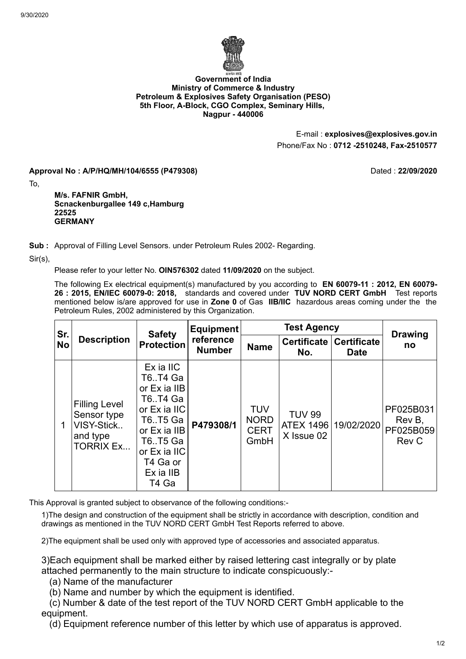

## **Government of India Ministry of Commerce & Industry Petroleum & Explosives Safety Organisation (PESO) 5th Floor, A-Block, CGO Complex, Seminary Hills, Nagpur - 440006**

E-mail : **explosives@explosives.gov.in** Phone/Fax No : **0712 -2510248, Fax-2510577**

**Approval No : A/P/HQ/MH/104/6555 (P479308)** Dated : **22/09/2020**

To,

**M/s. FAFNIR GmbH, Scnackenburgallee 149 c,Hamburg 22525 GERMANY**

**Sub :** Approval of Filling Level Sensors. under Petroleum Rules 2002- Regarding.

Sir(s),

Please refer to your letter No. **OIN576302** dated **11/09/2020** on the subject.

The following Ex electrical equipment(s) manufactured by you according to **EN 60079-11 : 2012, EN 60079- 26 : 2015, EN/IEC 60079-0: 2018,** standards and covered under **TUV NORD CERT GmbH** Test reports mentioned below is/are approved for use in **Zone 0** of Gas **IIB/IIC** hazardous areas coming under the the Petroleum Rules, 2002 administered by this Organization.

| Sr.<br><b>No</b> | <b>Description</b>                                                                | <b>Safety</b><br><b>Protection</b>                                                                                                                      | Equipment<br>reference<br><b>Number</b> | <b>Test Agency</b>                               |                                                 |                                   | <b>Drawing</b>                            |
|------------------|-----------------------------------------------------------------------------------|---------------------------------------------------------------------------------------------------------------------------------------------------------|-----------------------------------------|--------------------------------------------------|-------------------------------------------------|-----------------------------------|-------------------------------------------|
|                  |                                                                                   |                                                                                                                                                         |                                         | <b>Name</b>                                      | <b>Certificate</b><br>No.                       | <b>Certificate</b><br><b>Date</b> | no                                        |
| 1                | <b>Filling Level</b><br>Sensor type<br>VISY-Stick<br>and type<br><b>TORRIX Ex</b> | Ex ia IIC<br>T6T4 Ga<br>or Ex ia IIB<br>T6T4 Ga<br>or Ex ia IIC<br>T6T5 Ga<br>or Ex ia IIB<br>T6T5 Ga<br>or Ex ia IIC<br>T4 Ga or<br>Ex ia IIB<br>T4 Ga | P479308/1                               | <b>TUV</b><br><b>NORD</b><br><b>CERT</b><br>GmbH | <b>TUV 99</b><br><b>ATEX 1496</b><br>X Issue 02 | 19/02/2020                        | PF025B031<br>Rev B,<br>PF025B059<br>Rev C |

This Approval is granted subject to observance of the following conditions:-

1)The design and construction of the equipment shall be strictly in accordance with description, condition and drawings as mentioned in the TUV NORD CERT GmbH Test Reports referred to above.

2)The equipment shall be used only with approved type of accessories and associated apparatus.

3)Each equipment shall be marked either by raised lettering cast integrally or by plate attached permanently to the main structure to indicate conspicuously:-

(a) Name of the manufacturer

(b) Name and number by which the equipment is identified.

 (c) Number & date of the test report of the TUV NORD CERT GmbH applicable to the equipment.

(d) Equipment reference number of this letter by which use of apparatus is approved.